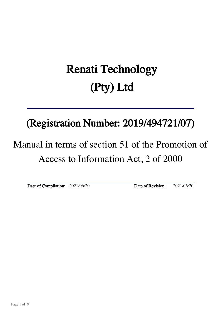# Renati Technology (Pty) Ltd

# (Registration Number: 2019/494721/07)

# Manual in terms of section 51 of the Promotion of Access to Information Act, 2 of 2000

Date of Compilation: 2021/06/20 Date of Revision: 2021/06/20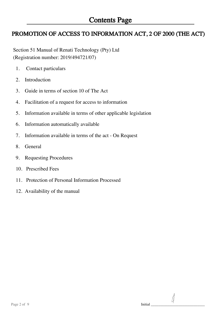## PROMOTION OF ACCESS TO INFORMATION ACT, 2 OF 2000 (THE ACT)

 Section 51 Manual of Renati Technology (Pty) Ltd (Registration number: 2019/494721/07)

- 1. Contact particulars
- 2. Introduction
- 3. Guide in terms of section 10 of The Act
- 4. Facilitation of a request for access to information
- 5. Information available in terms of other applicable legislation
- 6. Information automatically available
- 7. Information available in terms of the act On Request
- 8. General
- 9. Requesting Procedures
- 10. Prescribed Fees
- 11. Protection of Personal Information Processed
- 12. Availability of the manual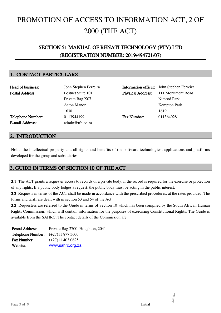# PROMOTION OF ACCESS TO INFORMATION ACT, 2 OF

## 2000 (THE ACT)

I

## SECTION 51 MANUAL OF RENATI TECHNOLOGY (PTY) LTD (REGISTRATION NUMBER: 2019/494721/07)

## 1. CONTACT PARTICULARS

| Head of business:        | John Stephen Ferreira    |                          | <b>Information officer:</b> John Stephen Ferreira |
|--------------------------|--------------------------|--------------------------|---------------------------------------------------|
| <b>Postal Address:</b>   | Postnet Suite 101        | <b>Physical Address:</b> | 111 Monument Road                                 |
|                          | Private Bag X07          |                          | Nimrod Park                                       |
|                          | Aston Manor              |                          | <b>Kempton Park</b>                               |
|                          | 1630                     |                          | 1619                                              |
| <b>Telephone Number:</b> | 0113944199               | <b>Fax Number:</b>       | 0113640281                                        |
| <b>E-mail Address:</b>   | $\text{admin@tfn.co.za}$ |                          |                                                   |
|                          |                          |                          |                                                   |

## 2. INTRODUCTION

Holds the intellectual property and all rights and benefits of the software technologies, applications and platforms developed for the group and subsidiaries.

## 3. GUIDE IN TERMS OF SECTION 10 OF THE ACT

3.1 The ACT grants a requester access to records of a private body, if the record is required for the exercise or protection of any rights. If a public body lodges a request, the public body must be acting in the public interest.

3.2 Requests in terms of the ACT shall be made in accordance with the prescribed procedures, at the rates provided. The forms and tariff are dealt with in section 53 and 54 of the Act.

3.3 Requesters are referred to the Guide in terms of Section 10 which has been compiled by the South African Human Rights Commission, which will contain information for the purposes of exercising Constitutional Rights. The Guide is available from the SAHRC. The contact details of the Commission are:

| <b>Postal Address:</b>                    | Private Bag 2700, Houghton, 2041 |
|-------------------------------------------|----------------------------------|
| <b>Telephone Number:</b> $(+27)118773600$ |                                  |
| <b>Fax Number:</b>                        | $(+27)11$ 403 0625               |
| Website:                                  | www.sahrc.org.za                 |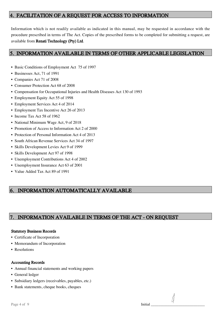## 4. FACILITATION OF A REQUEST FOR ACCESS TO INFORMATION

Information which is not readily available as indicated in this manual, may be requested in accordance with the procedure prescribed in terms of The Act. Copies of the prescribed forms to be completed for submitting a request, are available from Renati Technology (Pty) Ltd.

## 5. INFORMATION AVAILABLE IN TERMS OF OTHER APPLICABLE LEGISLATION

- Basic Conditions of Employment Act 75 of 1997
- Businesses Act, 71 of 1991
- Companies Act 71 of 2008
- Consumer Protection Act 68 of 2008
- Compensation for Occupational Injuries and Health Diseases Act 130 of 1993
- Employment Equity Act 55 of 1998
- Employment Services Act 4 of 2014
- Employment Tax Incentive Act 26 of 2013
- Income Tax Act 58 of 1962
- National Minimum Wage Act, 9 of 2018
- Promotion of Access to Information Act 2 of 2000
- Protection of Personal Information Act 4 of 2013
- South African Revenue Services Act 34 of 1997
- Skills Development Levies Act 9 of 1999
- Skills Development Act 97 of 1998
- Unemployment Contributions Act 4 of 2002
- Unemployment Insurance Act 63 of 2001
- Value Added Tax Act 89 of 1991

## 6. INFORMATION AUTOMATICALLY AVAILABLE

## 7. INFORMATION AVAILABLE IN TERMS OF THE ACT - ON REQUEST

#### Statutory Business Records

- Certificate of Incorporation
- Memorandum of Incorporation
- Resolutions

#### Accounting Records

- Annual financial statements and working papers
- General ledger
- Subsidiary ledgers (receivables, payables, etc.)
- Bank statements, cheque books, cheques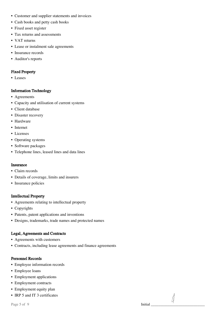- Customer and supplier statements and invoices
- Cash books and petty cash books
- Fixed asset register
- Tax returns and assessments
- VAT returns
- Lease or instalment sale agreements
- Insurance records
- Auditor's reports

#### Fixed Property

• Leases

#### Information Technology

- Agreements
- Capacity and utilisation of current systems
- Client database
- Disaster recovery
- Hardware
- Internet
- Licenses
- Operating systems
- Software packages
- Telephone lines, leased lines and data lines

#### Insurance

- Claim records
- Details of coverage, limits and insurers
- Insurance policies

#### Intellectual Property

- Agreements relating to intellectual property
- Copyrights
- Patents, patent applications and inventions
- Designs, trademarks, trade names and protected names

#### Legal, Agreements and Contracts

- Agreements with customers
- Contracts, including lease agreements and finance agreements

#### Personnel Records

- Employee information records
- Employee loans
- Employment applications
- Employment contracts
- Employment equity plan
- IRP 5 and IT 3 certificates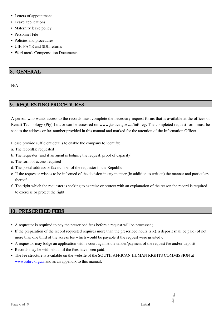- Letters of appointment
- Leave applications
- Maternity leave policy
- Personnel File
- Policies and procedures
- UIF, PAYE and SDL returns
- Workmen's Compensation Documents

## 8. GENERAL

N/A

## 9. REQUESTING PROCEDURES

A person who wants access to the records must complete the necessary request forms that is available at the offices of Renati Technology (Pty) Ltd, or can be accessed on www.justice.gov.za/inforeg. The completed request form must be sent to the address or fax number provided in this manual and marked for the attention of the Information Officer.

Please provide sufficient details to enable the company to identify:

- a. The record(s) requested
- b. The requester (and if an agent is lodging the request, proof of capacity)
- c. The form of access required
- d. The postal address or fax number of the requester in the Republic
- e. If the requester wishes to be informed of the decision in any manner (in addition to written) the manner and particulars thereof
- f. The right which the requester is seeking to exercise or protect with an explanation of the reason the record is required to exercise or protect the right.

## 10. PRESCRIBED FEES

- A requestor is required to pay the prescribed fees before a request will be processed;
- If the preparation of the record requested requires more than the prescribed hours (six), a deposit shall be paid (of not more than one third of the access fee which would be payable if the request were granted);
- A requestor may lodge an application with a court against the tender/payment of the request fee and/or deposit
- Records may be withheld until the fees have been paid.
- The fee structure is available on the website of the SOUTH AFRICAN HUMAN RIGHTS COMMISSION at www.sahrc.org.za and as an appendix to this manual.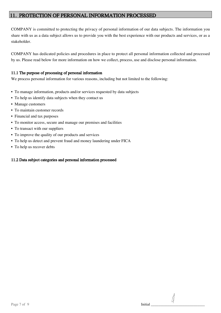## PROTECTION OF PERSONAL INFORMATION PROCESSED

COMPANY is committed to protecting the privacy of personal information of our data subjects. The information you share with us as a data subject allows us to provide you with the best experience with our products and services, or as a stakeholder.

COMPANY has dedicated policies and procedures in place to protect all personal information collected and processed by us. Please read below for more information on how we collect, process, use and disclose personal information.

#### 11.1 The purpose of processing of personal information

We process personal information for various reasons, including but not limited to the following:

- To manage information, products and/or services requested by data subjects
- To help us identify data subjects when they contact us
- Manage customers
- To maintain customer records
- Financial and tax purposes
- To monitor access, secure and manage our premises and facilities
- To transact with our suppliers
- To improve the quality of our products and services
- To help us detect and prevent fraud and money laundering under FICA
- To help us recover debts

#### 11.2 Data subject categories and personal information processed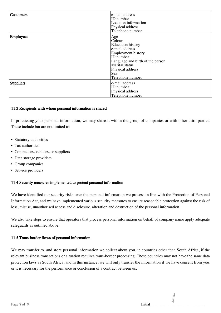| <b>Customers</b> | e-mail address<br>ID number<br>Location information<br>Physical address<br>Telephone number                                                                                                                |
|------------------|------------------------------------------------------------------------------------------------------------------------------------------------------------------------------------------------------------|
| Employees        | Age<br>Colour<br><b>Education</b> history<br>e-mail address<br>Employment history<br>ID number<br>Language and birth of the person<br>Marital status<br>Physical address<br><b>Sex</b><br>Telephone number |
| Suppliers        | e-mail address<br>ID number<br>Physical address<br>Telephone number                                                                                                                                        |

#### 11.3 Recipients with whom personal information is shared

In processing your personal information, we may share it within the group of companies or with other third parties. These include but are not limited to:

- Statutory authorities
- Tax authorities
- Contractors, vendors, or suppliers
- Data storage providers
- Group companies
- Service providers

#### 11.4 Security measures implemented to protect personal information

We have identified our security risks over the personal information we process in line with the Protection of Personal Information Act, and we have implemented various security measures to ensure reasonable protection against the risk of loss, misuse, unauthorised access and disclosure, alteration and destruction of the personal information.

We also take steps to ensure that operators that process personal information on behalf of company name apply adequate safeguards as outlined above.

#### 11.5 Trans-border flows of personal information

We may transfer to, and store personal information we collect about you, in countries other than South Africa, if the relevant business transactions or situation requires trans-border processing. These countries may not have the same data protection laws as South Africa, and in this instance, we will only transfer the information if we have consent from you, or it is necessary for the performance or conclusion of a contract between us.